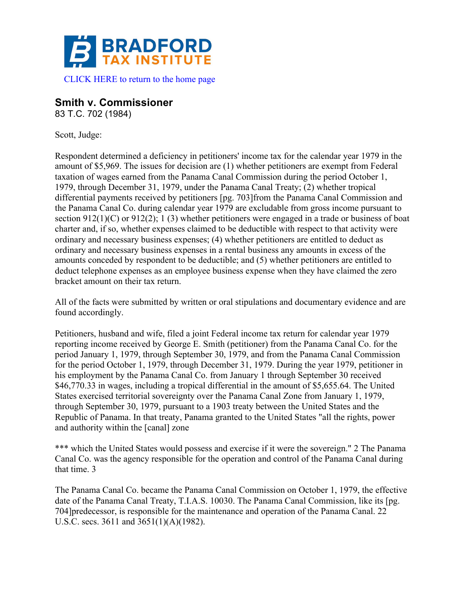

## **Smith v. Commissioner**

83 T.C. 702 (1984)

Scott, Judge:

Respondent determined a deficiency in petitioners' income tax for the calendar year 1979 in the amount of \$5,969. The issues for decision are (1) whether petitioners are exempt from Federal taxation of wages earned from the Panama Canal Commission during the period October 1, 1979, through December 31, 1979, under the Panama Canal Treaty; (2) whether tropical differential payments received by petitioners [pg. 703]from the Panama Canal Commission and the Panama Canal Co. during calendar year 1979 are excludable from gross income pursuant to section 912(1)(C) or 912(2); 1 (3) whether petitioners were engaged in a trade or business of boat charter and, if so, whether expenses claimed to be deductible with respect to that activity were ordinary and necessary business expenses; (4) whether petitioners are entitled to deduct as ordinary and necessary business expenses in a rental business any amounts in excess of the amounts conceded by respondent to be deductible; and (5) whether petitioners are entitled to deduct telephone expenses as an employee business expense when they have claimed the zero bracket amount on their tax return.

All of the facts were submitted by written or oral stipulations and documentary evidence and are found accordingly.

Petitioners, husband and wife, filed a joint Federal income tax return for calendar year 1979 reporting income received by George E. Smith (petitioner) from the Panama Canal Co. for the period January 1, 1979, through September 30, 1979, and from the Panama Canal Commission for the period October 1, 1979, through December 31, 1979. During the year 1979, petitioner in his employment by the Panama Canal Co. from January 1 through September 30 received \$46,770.33 in wages, including a tropical differential in the amount of \$5,655.64. The United States exercised territorial sovereignty over the Panama Canal Zone from January 1, 1979, through September 30, 1979, pursuant to a 1903 treaty between the United States and the Republic of Panama. In that treaty, Panama granted to the United States "all the rights, power and authority within the [canal] zone

\*\*\* which the United States would possess and exercise if it were the sovereign." 2 The Panama Canal Co. was the agency responsible for the operation and control of the Panama Canal during that time. 3

The Panama Canal Co. became the Panama Canal Commission on October 1, 1979, the effective date of the Panama Canal Treaty, T.I.A.S. 10030. The Panama Canal Commission, like its [pg. 704]predecessor, is responsible for the maintenance and operation of the Panama Canal. 22 U.S.C. secs. 3611 and 3651(1)(A)(1982).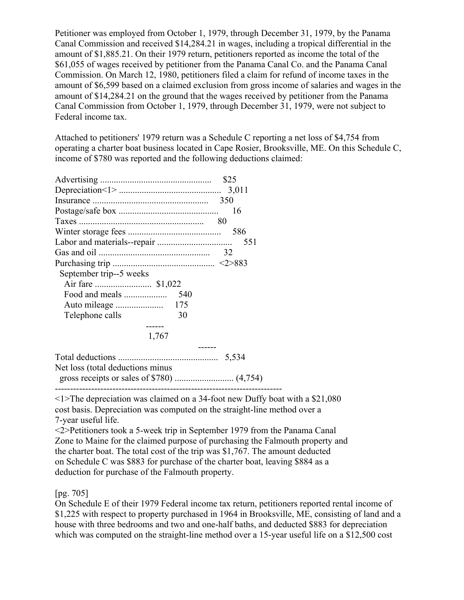Petitioner was employed from October 1, 1979, through December 31, 1979, by the Panama Canal Commission and received \$14,284.21 in wages, including a tropical differential in the amount of \$1,885.21. On their 1979 return, petitioners reported as income the total of the \$61,055 of wages received by petitioner from the Panama Canal Co. and the Panama Canal Commission. On March 12, 1980, petitioners filed a claim for refund of income taxes in the amount of \$6,599 based on a claimed exclusion from gross income of salaries and wages in the amount of \$14,284.21 on the ground that the wages received by petitioner from the Panama Canal Commission from October 1, 1979, through December 31, 1979, were not subject to Federal income tax.

Attached to petitioners' 1979 return was a Schedule C reporting a net loss of \$4,754 from operating a charter boat business located in Cape Rosier, Brooksville, ME. On this Schedule C, income of \$780 was reported and the following deductions claimed:

|                         | \$25  |
|-------------------------|-------|
|                         | 3,011 |
|                         | 350   |
|                         | 16    |
|                         | 80    |
|                         | 586   |
|                         | 551   |
|                         | 32    |
|                         |       |
| September trip--5 weeks |       |
|                         |       |
| Food and meals<br>540   |       |
|                         |       |
| Telephone calls<br>30   |       |
|                         |       |
| 1,767                   |       |
|                         |       |
|                         |       |

Net loss (total deductions minus

 gross receipts or sales of \$780) .......................... (4,754) ---------------------------------------------------------------------------

<1>The depreciation was claimed on a 34-foot new Duffy boat with a \$21,080 cost basis. Depreciation was computed on the straight-line method over a 7-year useful life.

<2>Petitioners took a 5-week trip in September 1979 from the Panama Canal Zone to Maine for the claimed purpose of purchasing the Falmouth property and the charter boat. The total cost of the trip was \$1,767. The amount deducted on Schedule C was \$883 for purchase of the charter boat, leaving \$884 as a deduction for purchase of the Falmouth property.

## [pg. 705]

On Schedule E of their 1979 Federal income tax return, petitioners reported rental income of \$1,225 with respect to property purchased in 1964 in Brooksville, ME, consisting of land and a house with three bedrooms and two and one-half baths, and deducted \$883 for depreciation which was computed on the straight-line method over a 15-year useful life on a \$12,500 cost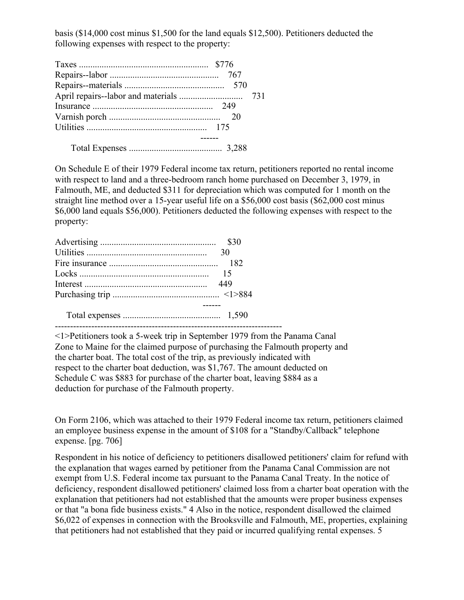basis (\$14,000 cost minus \$1,500 for the land equals \$12,500). Petitioners deducted the following expenses with respect to the property:

On Schedule E of their 1979 Federal income tax return, petitioners reported no rental income with respect to land and a three-bedroom ranch home purchased on December 3, 1979, in Falmouth, ME, and deducted \$311 for depreciation which was computed for 1 month on the straight line method over a 15-year useful life on a \$56,000 cost basis (\$62,000 cost minus \$6,000 land equals \$56,000). Petitioners deducted the following expenses with respect to the property:

---------------------------------------------------------------------------

<1>Petitioners took a 5-week trip in September 1979 from the Panama Canal Zone to Maine for the claimed purpose of purchasing the Falmouth property and the charter boat. The total cost of the trip, as previously indicated with respect to the charter boat deduction, was \$1,767. The amount deducted on Schedule C was \$883 for purchase of the charter boat, leaving \$884 as a deduction for purchase of the Falmouth property.

On Form 2106, which was attached to their 1979 Federal income tax return, petitioners claimed an employee business expense in the amount of \$108 for a "Standby/Callback" telephone expense. [pg. 706]

Respondent in his notice of deficiency to petitioners disallowed petitioners' claim for refund with the explanation that wages earned by petitioner from the Panama Canal Commission are not exempt from U.S. Federal income tax pursuant to the Panama Canal Treaty. In the notice of deficiency, respondent disallowed petitioners' claimed loss from a charter boat operation with the explanation that petitioners had not established that the amounts were proper business expenses or that "a bona fide business exists." 4 Also in the notice, respondent disallowed the claimed \$6,022 of expenses in connection with the Brooksville and Falmouth, ME, properties, explaining that petitioners had not established that they paid or incurred qualifying rental expenses. 5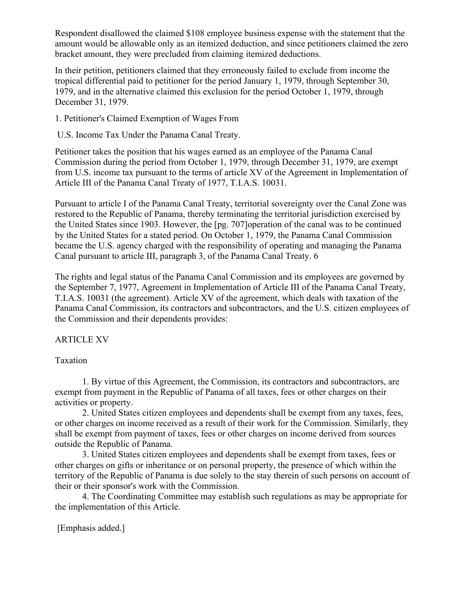Respondent disallowed the claimed \$108 employee business expense with the statement that the amount would be allowable only as an itemized deduction, and since petitioners claimed the zero bracket amount, they were precluded from claiming itemized deductions.

In their petition, petitioners claimed that they erroneously failed to exclude from income the tropical differential paid to petitioner for the period January 1, 1979, through September 30, 1979, and in the alternative claimed this exclusion for the period October 1, 1979, through December 31, 1979.

1. Petitioner's Claimed Exemption of Wages From

U.S. Income Tax Under the Panama Canal Treaty.

Petitioner takes the position that his wages earned as an employee of the Panama Canal Commission during the period from October 1, 1979, through December 31, 1979, are exempt from U.S. income tax pursuant to the terms of article XV of the Agreement in Implementation of Article III of the Panama Canal Treaty of 1977, T.I.A.S. 10031.

Pursuant to article I of the Panama Canal Treaty, territorial sovereignty over the Canal Zone was restored to the Republic of Panama, thereby terminating the territorial jurisdiction exercised by the United States since 1903. However, the [pg. 707]operation of the canal was to be continued by the United States for a stated period. On October 1, 1979, the Panama Canal Commission became the U.S. agency charged with the responsibility of operating and managing the Panama Canal pursuant to article III, paragraph 3, of the Panama Canal Treaty. 6

The rights and legal status of the Panama Canal Commission and its employees are governed by the September 7, 1977, Agreement in Implementation of Article III of the Panama Canal Treaty, T.I.A.S. 10031 (the agreement). Article XV of the agreement, which deals with taxation of the Panama Canal Commission, its contractors and subcontractors, and the U.S. citizen employees of the Commission and their dependents provides:

ARTICLE XV

Taxation

1. By virtue of this Agreement, the Commission, its contractors and subcontractors, are exempt from payment in the Republic of Panama of all taxes, fees or other charges on their activities or property.

2. United States citizen employees and dependents shall be exempt from any taxes, fees, or other charges on income received as a result of their work for the Commission. Similarly, they shall be exempt from payment of taxes, fees or other charges on income derived from sources outside the Republic of Panama.

3. United States citizen employees and dependents shall be exempt from taxes, fees or other charges on gifts or inheritance or on personal property, the presence of which within the territory of the Republic of Panama is due solely to the stay therein of such persons on account of their or their sponsor's work with the Commission.

4. The Coordinating Committee may establish such regulations as may be appropriate for the implementation of this Article.

[Emphasis added.]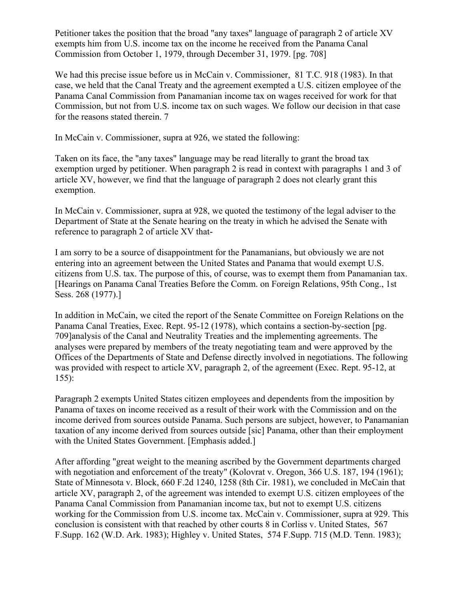Petitioner takes the position that the broad "any taxes" language of paragraph 2 of article XV exempts him from U.S. income tax on the income he received from the Panama Canal Commission from October 1, 1979, through December 31, 1979. [pg. 708]

We had this precise issue before us in McCain v. Commissioner, 81 T.C. 918 (1983). In that case, we held that the Canal Treaty and the agreement exempted a U.S. citizen employee of the Panama Canal Commission from Panamanian income tax on wages received for work for that Commission, but not from U.S. income tax on such wages. We follow our decision in that case for the reasons stated therein. 7

In McCain v. Commissioner, supra at 926, we stated the following:

Taken on its face, the "any taxes" language may be read literally to grant the broad tax exemption urged by petitioner. When paragraph 2 is read in context with paragraphs 1 and 3 of article XV, however, we find that the language of paragraph 2 does not clearly grant this exemption.

In McCain v. Commissioner, supra at 928, we quoted the testimony of the legal adviser to the Department of State at the Senate hearing on the treaty in which he advised the Senate with reference to paragraph 2 of article XV that-

I am sorry to be a source of disappointment for the Panamanians, but obviously we are not entering into an agreement between the United States and Panama that would exempt U.S. citizens from U.S. tax. The purpose of this, of course, was to exempt them from Panamanian tax. [Hearings on Panama Canal Treaties Before the Comm. on Foreign Relations, 95th Cong., 1st Sess. 268 (1977).]

In addition in McCain, we cited the report of the Senate Committee on Foreign Relations on the Panama Canal Treaties, Exec. Rept. 95-12 (1978), which contains a section-by-section [pg. 709]analysis of the Canal and Neutrality Treaties and the implementing agreements. The analyses were prepared by members of the treaty negotiating team and were approved by the Offices of the Departments of State and Defense directly involved in negotiations. The following was provided with respect to article XV, paragraph 2, of the agreement (Exec. Rept. 95-12, at 155):

Paragraph 2 exempts United States citizen employees and dependents from the imposition by Panama of taxes on income received as a result of their work with the Commission and on the income derived from sources outside Panama. Such persons are subject, however, to Panamanian taxation of any income derived from sources outside [sic] Panama, other than their employment with the United States Government. [Emphasis added.]

After affording "great weight to the meaning ascribed by the Government departments charged with negotiation and enforcement of the treaty" (Kolovrat v. Oregon, 366 U.S. 187, 194 (1961); State of Minnesota v. Block, 660 F.2d 1240, 1258 (8th Cir. 1981), we concluded in McCain that article XV, paragraph 2, of the agreement was intended to exempt U.S. citizen employees of the Panama Canal Commission from Panamanian income tax, but not to exempt U.S. citizens working for the Commission from U.S. income tax. McCain v. Commissioner, supra at 929. This conclusion is consistent with that reached by other courts 8 in Corliss v. United States, 567 F.Supp. 162 (W.D. Ark. 1983); Highley v. United States, 574 F.Supp. 715 (M.D. Tenn. 1983);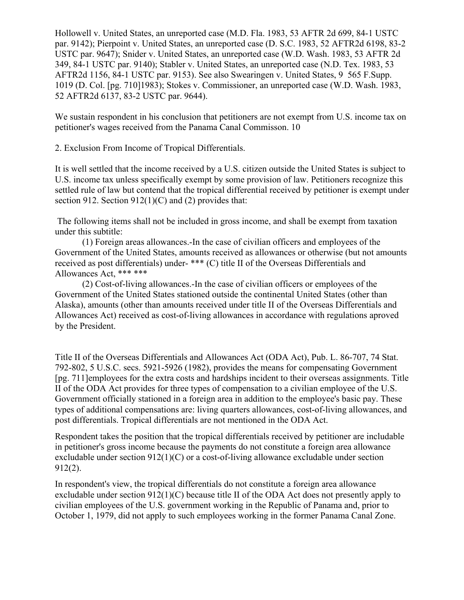Hollowell v. United States, an unreported case (M.D. Fla. 1983, 53 AFTR 2d 699, 84-1 USTC par. 9142); Pierpoint v. United States, an unreported case (D. S.C. 1983, 52 AFTR2d 6198, 83-2 USTC par. 9647); Snider v. United States, an unreported case (W.D. Wash. 1983, 53 AFTR 2d 349, 84-1 USTC par. 9140); Stabler v. United States, an unreported case (N.D. Tex. 1983, 53 AFTR2d 1156, 84-1 USTC par. 9153). See also Swearingen v. United States, 9 565 F.Supp. 1019 (D. Col. [pg. 710]1983); Stokes v. Commissioner, an unreported case (W.D. Wash. 1983, 52 AFTR2d 6137, 83-2 USTC par. 9644).

We sustain respondent in his conclusion that petitioners are not exempt from U.S. income tax on petitioner's wages received from the Panama Canal Commisson. 10

2. Exclusion From Income of Tropical Differentials.

It is well settled that the income received by a U.S. citizen outside the United States is subject to U.S. income tax unless specifically exempt by some provision of law. Petitioners recognize this settled rule of law but contend that the tropical differential received by petitioner is exempt under section 912. Section 912(1)(C) and (2) provides that:

The following items shall not be included in gross income, and shall be exempt from taxation under this subtitle:

(1) Foreign areas allowances.-In the case of civilian officers and employees of the Government of the United States, amounts received as allowances or otherwise (but not amounts received as post differentials) under- \*\*\* (C) title II of the Overseas Differentials and Allowances Act, \*\*\* \*\*\*

(2) Cost-of-living allowances.-In the case of civilian officers or employees of the Government of the United States stationed outside the continental United States (other than Alaska), amounts (other than amounts received under title II of the Overseas Differentials and Allowances Act) received as cost-of-living allowances in accordance with regulations aproved by the President.

Title II of the Overseas Differentials and Allowances Act (ODA Act), Pub. L. 86-707, 74 Stat. 792-802, 5 U.S.C. secs. 5921-5926 (1982), provides the means for compensating Government [pg. 711]employees for the extra costs and hardships incident to their overseas assignments. Title II of the ODA Act provides for three types of compensation to a civilian employee of the U.S. Government officially stationed in a foreign area in addition to the employee's basic pay. These types of additional compensations are: living quarters allowances, cost-of-living allowances, and post differentials. Tropical differentials are not mentioned in the ODA Act.

Respondent takes the position that the tropical differentials received by petitioner are includable in petitioner's gross income because the payments do not constitute a foreign area allowance excludable under section  $912(1)(C)$  or a cost-of-living allowance excludable under section 912(2).

In respondent's view, the tropical differentials do not constitute a foreign area allowance excludable under section  $912(1)(C)$  because title II of the ODA Act does not presently apply to civilian employees of the U.S. government working in the Republic of Panama and, prior to October 1, 1979, did not apply to such employees working in the former Panama Canal Zone.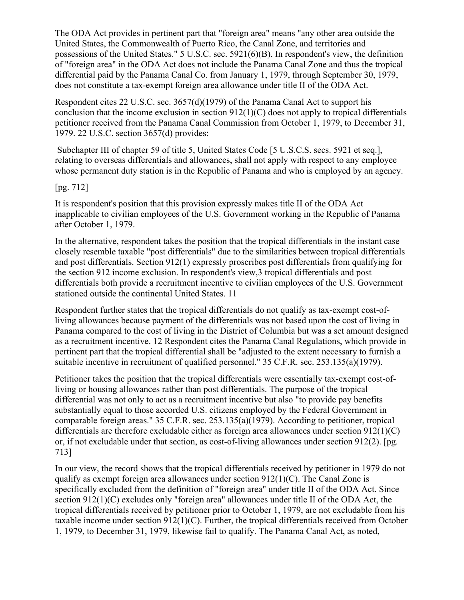The ODA Act provides in pertinent part that "foreign area" means "any other area outside the United States, the Commonwealth of Puerto Rico, the Canal Zone, and territories and possessions of the United States." 5 U.S.C. sec. 5921(6)(B). In respondent's view, the definition of "foreign area" in the ODA Act does not include the Panama Canal Zone and thus the tropical differential paid by the Panama Canal Co. from January 1, 1979, through September 30, 1979, does not constitute a tax-exempt foreign area allowance under title II of the ODA Act.

Respondent cites 22 U.S.C. sec. 3657(d)(1979) of the Panama Canal Act to support his conclusion that the income exclusion in section 912(1)(C) does not apply to tropical differentials petitioner received from the Panama Canal Commission from October 1, 1979, to December 31, 1979. 22 U.S.C. section 3657(d) provides:

Subchapter III of chapter 59 of title 5, United States Code [5 U.S.C.S. secs. 5921 et seq.], relating to overseas differentials and allowances, shall not apply with respect to any employee whose permanent duty station is in the Republic of Panama and who is employed by an agency.

## [pg. 712]

It is respondent's position that this provision expressly makes title II of the ODA Act inapplicable to civilian employees of the U.S. Government working in the Republic of Panama after October 1, 1979.

In the alternative, respondent takes the position that the tropical differentials in the instant case closely resemble taxable "post differentials" due to the similarities between tropical differentials and post differentials. Section 912(1) expressly proscribes post differentials from qualifying for the section 912 income exclusion. In respondent's view,3 tropical differentials and post differentials both provide a recruitment incentive to civilian employees of the U.S. Government stationed outside the continental United States. 11

Respondent further states that the tropical differentials do not qualify as tax-exempt cost-ofliving allowances because payment of the differentials was not based upon the cost of living in Panama compared to the cost of living in the District of Columbia but was a set amount designed as a recruitment incentive. 12 Respondent cites the Panama Canal Regulations, which provide in pertinent part that the tropical differential shall be "adjusted to the extent necessary to furnish a suitable incentive in recruitment of qualified personnel." 35 C.F.R. sec. 253.135(a)(1979).

Petitioner takes the position that the tropical differentials were essentially tax-exempt cost-ofliving or housing allowances rather than post differentials. The purpose of the tropical differential was not only to act as a recruitment incentive but also "to provide pay benefits substantially equal to those accorded U.S. citizens employed by the Federal Government in comparable foreign areas." 35 C.F.R. sec. 253.135(a)(1979). According to petitioner, tropical differentials are therefore excludable either as foreign area allowances under section 912(1)(C) or, if not excludable under that section, as cost-of-living allowances under section 912(2). [pg. 713]

In our view, the record shows that the tropical differentials received by petitioner in 1979 do not qualify as exempt foreign area allowances under section  $912(1)(C)$ . The Canal Zone is specifically excluded from the definition of "foreign area" under title II of the ODA Act. Since section 912(1)(C) excludes only "foreign area" allowances under title II of the ODA Act, the tropical differentials received by petitioner prior to October 1, 1979, are not excludable from his taxable income under section 912(1)(C). Further, the tropical differentials received from October 1, 1979, to December 31, 1979, likewise fail to qualify. The Panama Canal Act, as noted,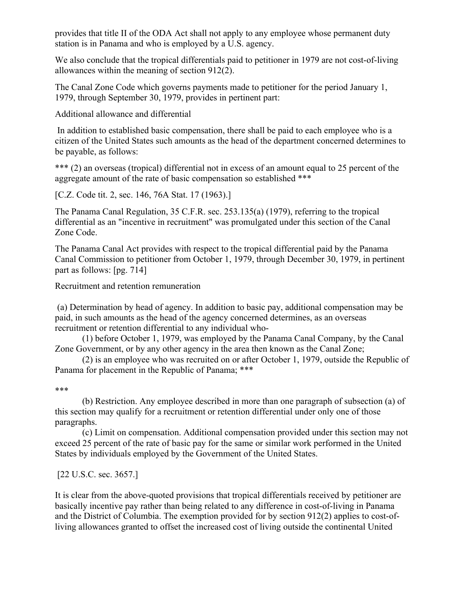provides that title II of the ODA Act shall not apply to any employee whose permanent duty station is in Panama and who is employed by a U.S. agency.

We also conclude that the tropical differentials paid to petitioner in 1979 are not cost-of-living allowances within the meaning of section 912(2).

The Canal Zone Code which governs payments made to petitioner for the period January 1, 1979, through September 30, 1979, provides in pertinent part:

Additional allowance and differential

In addition to established basic compensation, there shall be paid to each employee who is a citizen of the United States such amounts as the head of the department concerned determines to be payable, as follows:

\*\*\* (2) an overseas (tropical) differential not in excess of an amount equal to 25 percent of the aggregate amount of the rate of basic compensation so established \*\*\*

[C.Z. Code tit. 2, sec. 146, 76A Stat. 17 (1963).]

The Panama Canal Regulation, 35 C.F.R. sec. 253.135(a) (1979), referring to the tropical differential as an "incentive in recruitment" was promulgated under this section of the Canal Zone Code.

The Panama Canal Act provides with respect to the tropical differential paid by the Panama Canal Commission to petitioner from October 1, 1979, through December 30, 1979, in pertinent part as follows: [pg. 714]

Recruitment and retention remuneration

(a) Determination by head of agency. In addition to basic pay, additional compensation may be paid, in such amounts as the head of the agency concerned determines, as an overseas recruitment or retention differential to any individual who-

(1) before October 1, 1979, was employed by the Panama Canal Company, by the Canal Zone Government, or by any other agency in the area then known as the Canal Zone;

(2) is an employee who was recruited on or after October 1, 1979, outside the Republic of Panama for placement in the Republic of Panama; \*\*\*

## \*\*\*

(b) Restriction. Any employee described in more than one paragraph of subsection (a) of this section may qualify for a recruitment or retention differential under only one of those paragraphs.

(c) Limit on compensation. Additional compensation provided under this section may not exceed 25 percent of the rate of basic pay for the same or similar work performed in the United States by individuals employed by the Government of the United States.

[22 U.S.C. sec. 3657.]

It is clear from the above-quoted provisions that tropical differentials received by petitioner are basically incentive pay rather than being related to any difference in cost-of-living in Panama and the District of Columbia. The exemption provided for by section 912(2) applies to cost-ofliving allowances granted to offset the increased cost of living outside the continental United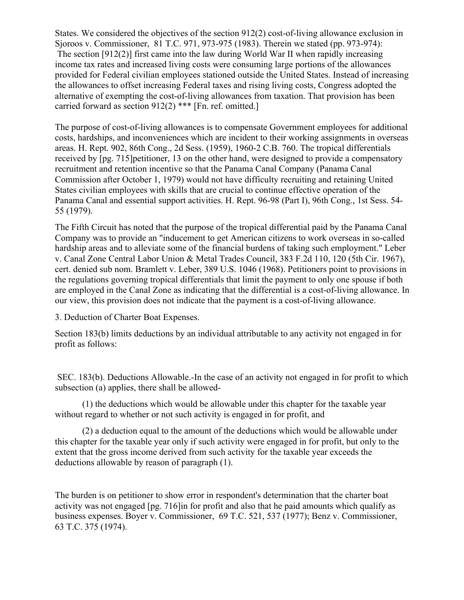States. We considered the objectives of the section 912(2) cost-of-living allowance exclusion in Sjoroos v. Commissioner, 81 T.C. 971, 973-975 (1983). Therein we stated (pp. 973-974): The section  $[912(2)]$  first came into the law during World War II when rapidly increasing income tax rates and increased living costs were consuming large portions of the allowances provided for Federal civilian employees stationed outside the United States. Instead of increasing the allowances to offset increasing Federal taxes and rising living costs, Congress adopted the alternative of exempting the cost-of-living allowances from taxation. That provision has been carried forward as section 912(2) \*\*\* [Fn. ref. omitted.]

The purpose of cost-of-living allowances is to compensate Government employees for additional costs, hardships, and inconveniences which are incident to their working assignments in overseas areas. H. Rept. 902, 86th Cong., 2d Sess. (1959), 1960-2 C.B. 760. The tropical differentials received by [pg. 715]petitioner, 13 on the other hand, were designed to provide a compensatory recruitment and retention incentive so that the Panama Canal Company (Panama Canal Commission after October 1, 1979) would not have difficulty recruiting and retaining United States civilian employees with skills that are crucial to continue effective operation of the Panama Canal and essential support activities. H. Rept. 96-98 (Part I), 96th Cong., 1st Sess. 54- 55 (1979).

The Fifth Circuit has noted that the purpose of the tropical differential paid by the Panama Canal Company was to provide an "inducement to get American citizens to work overseas in so-called hardship areas and to alleviate some of the financial burdens of taking such employment." Leber v. Canal Zone Central Labor Union & Metal Trades Council, 383 F.2d 110, 120 (5th Cir. 1967), cert. denied sub nom. Bramlett v. Leber, 389 U.S. 1046 (1968). Petitioners point to provisions in the regulations governing tropical differentials that limit the payment to only one spouse if both are employed in the Canal Zone as indicating that the differential is a cost-of-living allowance. In our view, this provision does not indicate that the payment is a cost-of-living allowance.

3. Deduction of Charter Boat Expenses.

Section 183(b) limits deductions by an individual attributable to any activity not engaged in for profit as follows:

SEC. 183(b). Deductions Allowable.-In the case of an activity not engaged in for profit to which subsection (a) applies, there shall be allowed-

(1) the deductions which would be allowable under this chapter for the taxable year without regard to whether or not such activity is engaged in for profit, and

(2) a deduction equal to the amount of the deductions which would be allowable under this chapter for the taxable year only if such activity were engaged in for profit, but only to the extent that the gross income derived from such activity for the taxable year exceeds the deductions allowable by reason of paragraph (1).

The burden is on petitioner to show error in respondent's determination that the charter boat activity was not engaged [pg. 716]in for profit and also that he paid amounts which qualify as business expenses. Boyer v. Commissioner, 69 T.C. 521, 537 (1977); Benz v. Commissioner, 63 T.C. 375 (1974).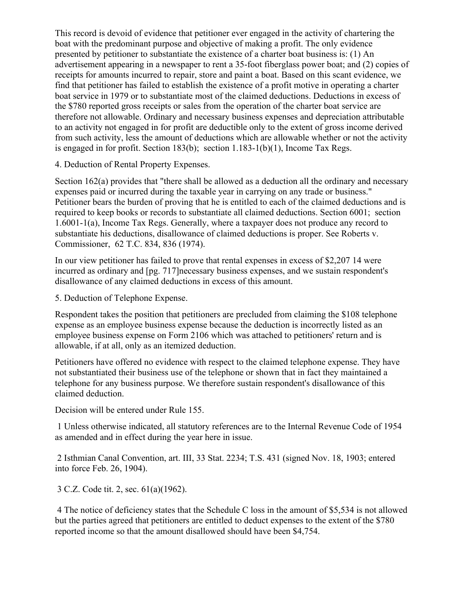This record is devoid of evidence that petitioner ever engaged in the activity of chartering the boat with the predominant purpose and objective of making a profit. The only evidence presented by petitioner to substantiate the existence of a charter boat business is: (1) An advertisement appearing in a newspaper to rent a 35-foot fiberglass power boat; and (2) copies of receipts for amounts incurred to repair, store and paint a boat. Based on this scant evidence, we find that petitioner has failed to establish the existence of a profit motive in operating a charter boat service in 1979 or to substantiate most of the claimed deductions. Deductions in excess of the \$780 reported gross receipts or sales from the operation of the charter boat service are therefore not allowable. Ordinary and necessary business expenses and depreciation attributable to an activity not engaged in for profit are deductible only to the extent of gross income derived from such activity, less the amount of deductions which are allowable whether or not the activity is engaged in for profit. Section 183(b); section 1.183-1(b)(1), Income Tax Regs.

4. Deduction of Rental Property Expenses.

Section 162(a) provides that "there shall be allowed as a deduction all the ordinary and necessary expenses paid or incurred during the taxable year in carrying on any trade or business." Petitioner bears the burden of proving that he is entitled to each of the claimed deductions and is required to keep books or records to substantiate all claimed deductions. Section 6001; section 1.6001-1(a), Income Tax Regs. Generally, where a taxpayer does not produce any record to substantiate his deductions, disallowance of claimed deductions is proper. See Roberts v. Commissioner, 62 T.C. 834, 836 (1974).

In our view petitioner has failed to prove that rental expenses in excess of \$2,207 14 were incurred as ordinary and [pg. 717] necessary business expenses, and we sustain respondent's disallowance of any claimed deductions in excess of this amount.

5. Deduction of Telephone Expense.

Respondent takes the position that petitioners are precluded from claiming the \$108 telephone expense as an employee business expense because the deduction is incorrectly listed as an employee business expense on Form 2106 which was attached to petitioners' return and is allowable, if at all, only as an itemized deduction.

Petitioners have offered no evidence with respect to the claimed telephone expense. They have not substantiated their business use of the telephone or shown that in fact they maintained a telephone for any business purpose. We therefore sustain respondent's disallowance of this claimed deduction.

Decision will be entered under Rule 155.

1 Unless otherwise indicated, all statutory references are to the Internal Revenue Code of 1954 as amended and in effect during the year here in issue.

2 Isthmian Canal Convention, art. III, 33 Stat. 2234; T.S. 431 (signed Nov. 18, 1903; entered into force Feb. 26, 1904).

3 C.Z. Code tit. 2, sec. 61(a)(1962).

4 The notice of deficiency states that the Schedule C loss in the amount of \$5,534 is not allowed but the parties agreed that petitioners are entitled to deduct expenses to the extent of the \$780 reported income so that the amount disallowed should have been \$4,754.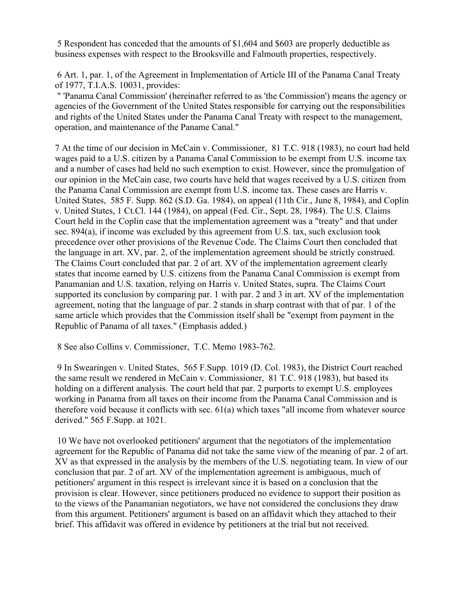5 Respondent has conceded that the amounts of \$1,604 and \$603 are properly deductible as business expenses with respect to the Brooksville and Falmouth properties, respectively.

6 Art. 1, par. 1, of the Agreement in Implementation of Article III of the Panama Canal Treaty of 1977, T.I.A.S. 10031, provides:

" 'Panama Canal Commission' (hereinafter referred to as 'the Commission') means the agency or agencies of the Government of the United States responsible for carrying out the responsibilities and rights of the United States under the Panama Canal Treaty with respect to the management, operation, and maintenance of the Paname Canal."

7 At the time of our decision in McCain v. Commissioner, 81 T.C. 918 (1983), no court had held wages paid to a U.S. citizen by a Panama Canal Commission to be exempt from U.S. income tax and a number of cases had held no such exemption to exist. However, since the promulgation of our opinion in the McCain case, two courts have held that wages received by a U.S. citizen from the Panama Canal Commission are exempt from U.S. income tax. These cases are Harris v. United States, 585 F. Supp. 862 (S.D. Ga. 1984), on appeal (11th Cir., June 8, 1984), and Coplin v. United States, 1 Ct.Cl. 144 (1984), on appeal (Fed. Cir., Sept. 28, 1984). The U.S. Claims Court held in the Coplin case that the implementation agreement was a "treaty" and that under sec. 894(a), if income was excluded by this agreement from U.S. tax, such exclusion took precedence over other provisions of the Revenue Code. The Claims Court then concluded that the language in art. XV, par. 2, of the implementation agreement should be strictly construed. The Claims Court concluded that par. 2 of art. XV of the implementation agreement clearly states that income earned by U.S. citizens from the Panama Canal Commission is exempt from Panamanian and U.S. taxation, relying on Harris v. United States, supra. The Claims Court supported its conclusion by comparing par. 1 with par. 2 and 3 in art. XV of the implementation agreement, noting that the language of par. 2 stands in sharp contrast with that of par. 1 of the same article which provides that the Commission itself shall be "exempt from payment in the Republic of Panama of all taxes." (Emphasis added.)

8 See also Collins v. Commissioner, T.C. Memo 1983-762.

9 In Swearingen v. United States, 565 F.Supp. 1019 (D. Col. 1983), the District Court reached the same result we rendered in McCain v. Commissioner, 81 T.C. 918 (1983), but based its holding on a different analysis. The court held that par. 2 purports to exempt U.S. employees working in Panama from all taxes on their income from the Panama Canal Commission and is therefore void because it conflicts with sec. 61(a) which taxes "all income from whatever source derived." 565 F.Supp. at 1021.

10 We have not overlooked petitioners' argument that the negotiators of the implementation agreement for the Republic of Panama did not take the same view of the meaning of par. 2 of art. XV as that expressed in the analysis by the members of the U.S. negotiating team. In view of our conclusion that par. 2 of art. XV of the implementation agreement is ambiguous, much of petitioners' argument in this respect is irrelevant since it is based on a conclusion that the provision is clear. However, since petitioners produced no evidence to support their position as to the views of the Panamanian negotiators, we have not considered the conclusions they draw from this argument. Petitioners' argument is based on an affidavit which they attached to their brief. This affidavit was offered in evidence by petitioners at the trial but not received.